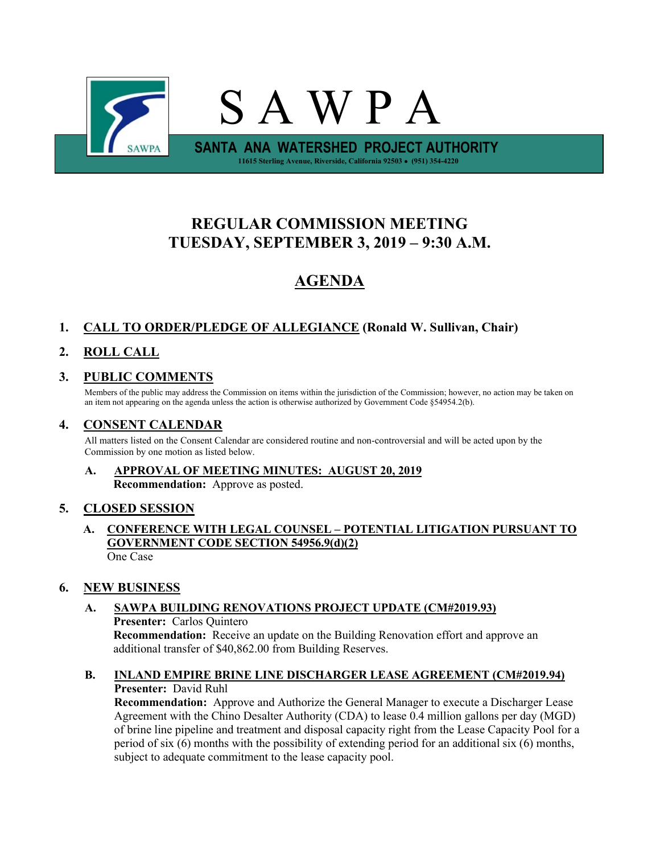

# **REGULAR COMMISSION MEETING TUESDAY, SEPTEMBER 3, 2019 – 9:30 A.M.**

# **AGENDA**

# **1. CALL TO ORDER/PLEDGE OF ALLEGIANCE (Ronald W. Sullivan, Chair)**

# **2. ROLL CALL**

# **3. PUBLIC COMMENTS**

Members of the public may address the Commission on items within the jurisdiction of the Commission; however, no action may be taken on an item not appearing on the agenda unless the action is otherwise authorized by Government Code §54954.2(b).

# **4. CONSENT CALENDAR**

All matters listed on the Consent Calendar are considered routine and non-controversial and will be acted upon by the Commission by one motion as listed below.

# **A. APPROVAL OF MEETING MINUTES: AUGUST 20, 2019 Recommendation:** Approve as posted.

# **5. CLOSED SESSION**

**A. CONFERENCE WITH LEGAL COUNSEL – POTENTIAL LITIGATION PURSUANT TO GOVERNMENT CODE SECTION 54956.9(d)(2)** One Case

# **6. NEW BUSINESS**

# **A. SAWPA BUILDING RENOVATIONS PROJECT UPDATE (CM#2019.93)**

**Presenter:** Carlos Quintero **Recommendation:** Receive an update on the Building Renovation effort and approve an additional transfer of \$40,862.00 from Building Reserves.

#### **B. INLAND EMPIRE BRINE LINE DISCHARGER LEASE AGREEMENT (CM#2019.94) Presenter:** David Ruhl

**Recommendation:** Approve and Authorize the General Manager to execute a Discharger Lease Agreement with the Chino Desalter Authority (CDA) to lease 0.4 million gallons per day (MGD) of brine line pipeline and treatment and disposal capacity right from the Lease Capacity Pool for a period of six (6) months with the possibility of extending period for an additional six (6) months, subject to adequate commitment to the lease capacity pool.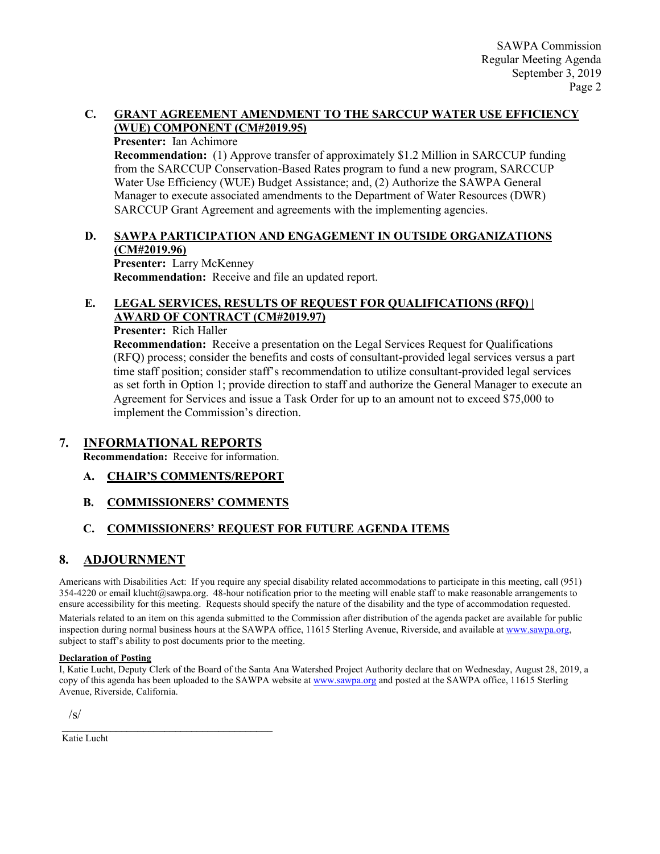#### **C. GRANT AGREEMENT AMENDMENT TO THE SARCCUP WATER USE EFFICIENCY (WUE) COMPONENT (CM#2019.95)**

#### **Presenter:** Ian Achimore

**Recommendation:** (1) Approve transfer of approximately \$1.2 Million in SARCCUP funding from the SARCCUP Conservation-Based Rates program to fund a new program, SARCCUP Water Use Efficiency (WUE) Budget Assistance; and, (2) Authorize the SAWPA General Manager to execute associated amendments to the Department of Water Resources (DWR) SARCCUP Grant Agreement and agreements with the implementing agencies.

# **D. SAWPA PARTICIPATION AND ENGAGEMENT IN OUTSIDE ORGANIZATIONS (CM#2019.96)**

**Presenter:** Larry McKenney **Recommendation:** Receive and file an updated report.

## **E. LEGAL SERVICES, RESULTS OF REQUEST FOR QUALIFICATIONS (RFQ) | AWARD OF CONTRACT (CM#2019.97)**

**Presenter:** Rich Haller

**Recommendation:** Receive a presentation on the Legal Services Request for Qualifications (RFQ) process; consider the benefits and costs of consultant-provided legal services versus a part time staff position; consider staff's recommendation to utilize consultant-provided legal services as set forth in Option 1; provide direction to staff and authorize the General Manager to execute an Agreement for Services and issue a Task Order for up to an amount not to exceed \$75,000 to implement the Commission's direction.

### **7. INFORMATIONAL REPORTS**

**Recommendation:** Receive for information.

### **A. CHAIR'S COMMENTS/REPORT**

### **B. COMMISSIONERS' COMMENTS**

### **C. COMMISSIONERS' REQUEST FOR FUTURE AGENDA ITEMS**

### **8. ADJOURNMENT**

Americans with Disabilities Act: If you require any special disability related accommodations to participate in this meeting, call (951) 354-4220 or email klucht@sawpa.org. 48-hour notification prior to the meeting will enable staff to make reasonable arrangements to ensure accessibility for this meeting. Requests should specify the nature of the disability and the type of accommodation requested.

Materials related to an item on this agenda submitted to the Commission after distribution of the agenda packet are available for public inspection during normal business hours at the SAWPA office, 11615 Sterling Avenue, Riverside, and available a[t www.sawpa.org,](http://www.sawpa.org/) subject to staff's ability to post documents prior to the meeting.

#### **Declaration of Posting**

I, Katie Lucht, Deputy Clerk of the Board of the Santa Ana Watershed Project Authority declare that on Wednesday, August 28, 2019, a copy of this agenda has been uploaded to the SAWPA website at [www.sawpa.org](http://www.sawpa.org/) and posted at the SAWPA office, 11615 Sterling Avenue, Riverside, California.

 $\sqrt{s}$ 

\_\_\_\_\_\_\_\_\_\_\_\_\_\_\_\_\_\_\_\_\_\_\_\_\_\_\_\_\_\_\_\_\_\_\_\_\_\_\_ Katie Lucht